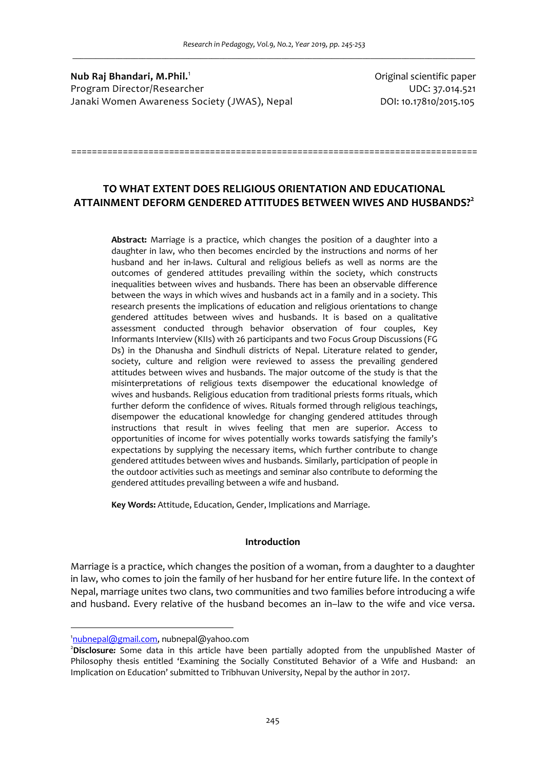**Nub Raj Bhandari, M.Phil.**<sup>1</sup> Program Director/Researcher UDC: 37.014.521 Janaki Women Awareness Society (JWAS), Nepal DOI: 10.17810/2015.105

Original scientific paper

# **TO WHAT EXTENT DOES RELIGIOUS ORIENTATION AND EDUCATIONAL ATTAINMENT DEFORM GENDERED ATTITUDES BETWEEN WIVES AND HUSBANDS?<sup>2</sup>**

===============================================================================

**Abstract:** Marriage is a practice, which changes the position of a daughter into a daughter in law, who then becomes encircled by the instructions and norms of her husband and her in-laws. Cultural and religious beliefs as well as norms are the outcomes of gendered attitudes prevailing within the society, which constructs inequalities between wives and husbands. There has been an observable difference between the ways in which wives and husbands act in a family and in a society. This research presents the implications of education and religious orientations to change gendered attitudes between wives and husbands. It is based on a qualitative assessment conducted through behavior observation of four couples, Key Informants Interview (KIIs) with 26 participants and two Focus Group Discussions (FG Ds) in the Dhanusha and Sindhuli districts of Nepal. Literature related to gender, society, culture and religion were reviewed to assess the prevailing gendered attitudes between wives and husbands. The major outcome of the study is that the misinterpretations of religious texts disempower the educational knowledge of wives and husbands. Religious education from traditional priests forms rituals, which further deform the confidence of wives. Rituals formed through religious teachings, disempower the educational knowledge for changing gendered attitudes through instructions that result in wives feeling that men are superior. Access to opportunities of income for wives potentially works towards satisfying the family's expectations by supplying the necessary items, which further contribute to change gendered attitudes between wives and husbands. Similarly, participation of people in the outdoor activities such as meetings and seminar also contribute to deforming the gendered attitudes prevailing between a wife and husband.

**Key Words:** Attitude, Education, Gender, Implications and Marriage.

#### **Introduction**

Marriage is a practice, which changes the position of a woman, from a daughter to a daughter in law, who comes to join the family of her husband for her entire future life. In the context of Nepal, marriage unites two clans, two communities and two families before introducing a wife and husband. Every relative of the husband becomes an in–law to the wife and vice versa.

l

<sup>&</sup>lt;sup>1</sup>nubnepal@gmail.com, nubnepal@yahoo.com

<sup>2</sup>**Disclosure***:* Some data in this article have been partially adopted from the unpublished Master of Philosophy thesis entitled 'Examining the Socially Constituted Behavior of a Wife and Husband: an Implication on Education' submitted to Tribhuvan University, Nepal by the author in 2017.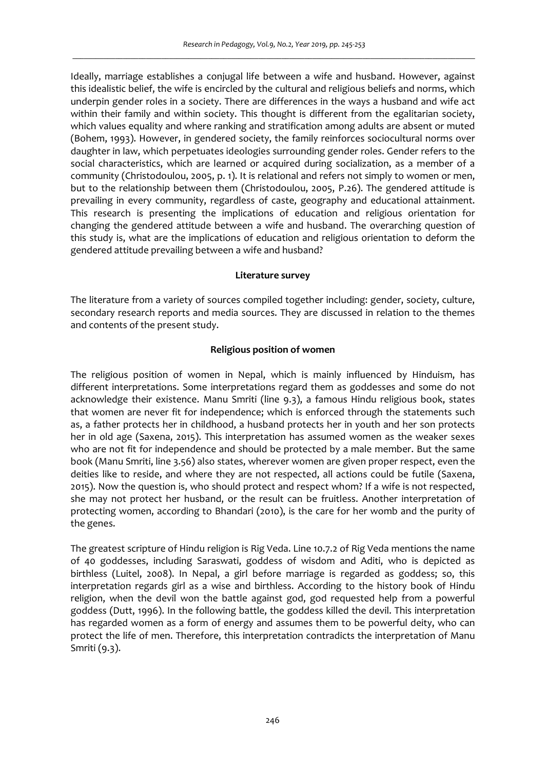Ideally, marriage establishes a conjugal life between a wife and husband. However, against this idealistic belief, the wife is encircled by the cultural and religious beliefs and norms, which underpin gender roles in a society. There are differences in the ways a husband and wife act within their family and within society. This thought is different from the egalitarian society, which values equality and where ranking and stratification among adults are absent or muted (Bohem, 1993). However, in gendered society, the family reinforces sociocultural norms over daughter in law, which perpetuates ideologies surrounding gender roles. Gender refers to the social characteristics, which are learned or acquired during socialization, as a member of a community (Christodoulou, 2005, p. 1). It is relational and refers not simply to women or men, but to the relationship between them (Christodoulou, 2005, P.26). The gendered attitude is prevailing in every community, regardless of caste, geography and educational attainment. This research is presenting the implications of education and religious orientation for changing the gendered attitude between a wife and husband. The overarching question of this study is, what are the implications of education and religious orientation to deform the gendered attitude prevailing between a wife and husband?

## **Literature survey**

The literature from a variety of sources compiled together including: gender, society, culture, secondary research reports and media sources. They are discussed in relation to the themes and contents of the present study.

# **Religious position of women**

The religious position of women in Nepal, which is mainly influenced by Hinduism, has different interpretations. Some interpretations regard them as goddesses and some do not acknowledge their existence. Manu Smriti (line 9.3), a famous Hindu religious book, states that women are never fit for independence; which is enforced through the statements such as, a father protects her in childhood, a husband protects her in youth and her son protects her in old age (Saxena, 2015). This interpretation has assumed women as the weaker sexes who are not fit for independence and should be protected by a male member. But the same book (Manu Smriti, line 3.56) also states, wherever women are given proper respect, even the deities like to reside, and where they are not respected, all actions could be futile (Saxena, 2015). Now the question is, who should protect and respect whom? If a wife is not respected, she may not protect her husband, or the result can be fruitless. Another interpretation of protecting women, according to Bhandari (2010), is the care for her womb and the purity of the genes.

The greatest scripture of Hindu religion is Rig Veda. Line 10.7.2 of Rig Veda mentions the name of 40 goddesses, including Saraswati, goddess of wisdom and Aditi, who is depicted as birthless (Luitel, 2008). In Nepal, a girl before marriage is regarded as goddess; so, this interpretation regards girl as a wise and birthless. According to the history book of Hindu religion, when the devil won the battle against god, god requested help from a powerful goddess (Dutt, 1996). In the following battle, the goddess killed the devil. This interpretation has regarded women as a form of energy and assumes them to be powerful deity, who can protect the life of men. Therefore, this interpretation contradicts the interpretation of Manu Smriti (9.3).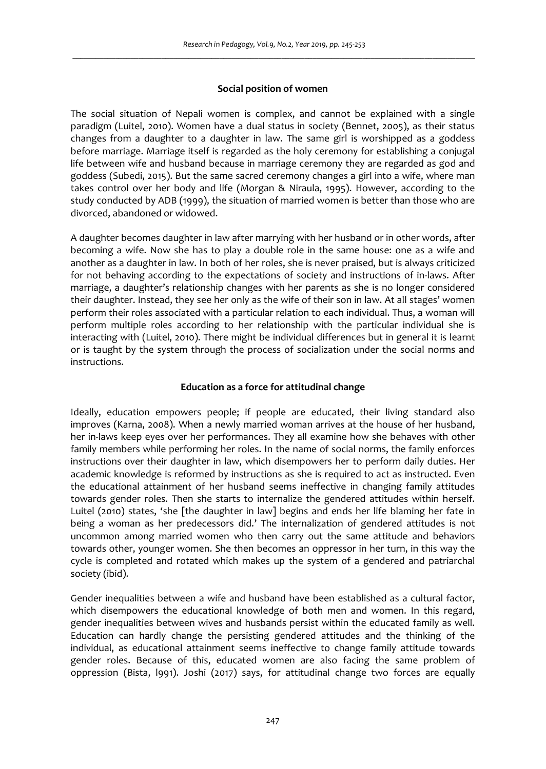## **Social position of women**

The social situation of Nepali women is complex, and cannot be explained with a single paradigm (Luitel, 2010). Women have a dual status in society (Bennet, 2005), as their status changes from a daughter to a daughter in law. The same girl is worshipped as a goddess before marriage. Marriage itself is regarded as the holy ceremony for establishing a conjugal life between wife and husband because in marriage ceremony they are regarded as god and goddess (Subedi, 2015). But the same sacred ceremony changes a girl into a wife, where man takes control over her body and life (Morgan & Niraula, 1995). However, according to the study conducted by ADB (1999), the situation of married women is better than those who are divorced, abandoned or widowed.

A daughter becomes daughter in law after marrying with her husband or in other words, after becoming a wife. Now she has to play a double role in the same house: one as a wife and another as a daughter in law. In both of her roles, she is never praised, but is always criticized for not behaving according to the expectations of society and instructions of in-laws. After marriage, a daughter's relationship changes with her parents as she is no longer considered their daughter. Instead, they see her only as the wife of their son in law. At all stages' women perform their roles associated with a particular relation to each individual. Thus, a woman will perform multiple roles according to her relationship with the particular individual she is interacting with (Luitel, 2010). There might be individual differences but in general it is learnt or is taught by the system through the process of socialization under the social norms and instructions.

#### **Education as a force for attitudinal change**

Ideally, education empowers people; if people are educated, their living standard also improves (Karna, 2008). When a newly married woman arrives at the house of her husband, her in-laws keep eyes over her performances. They all examine how she behaves with other family members while performing her roles. In the name of social norms, the family enforces instructions over their daughter in law, which disempowers her to perform daily duties. Her academic knowledge is reformed by instructions as she is required to act as instructed. Even the educational attainment of her husband seems ineffective in changing family attitudes towards gender roles. Then she starts to internalize the gendered attitudes within herself. Luitel (2010) states, 'she [the daughter in law] begins and ends her life blaming her fate in being a woman as her predecessors did.' The internalization of gendered attitudes is not uncommon among married women who then carry out the same attitude and behaviors towards other, younger women. She then becomes an oppressor in her turn, in this way the cycle is completed and rotated which makes up the system of a gendered and patriarchal society (ibid).

Gender inequalities between a wife and husband have been established as a cultural factor, which disempowers the educational knowledge of both men and women. In this regard, gender inequalities between wives and husbands persist within the educated family as well. Education can hardly change the persisting gendered attitudes and the thinking of the individual, as educational attainment seems ineffective to change family attitude towards gender roles. Because of this, educated women are also facing the same problem of oppression (Bista, l991). Joshi (2017) says, for attitudinal change two forces are equally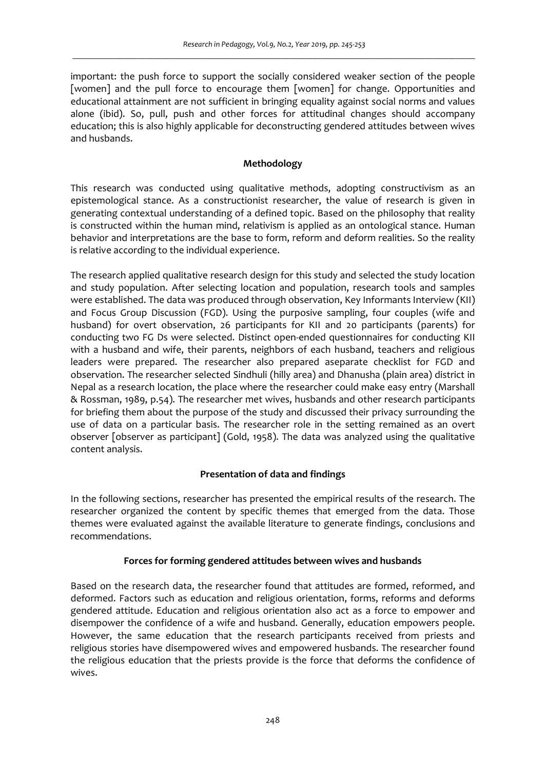important: the push force to support the socially considered weaker section of the people [women] and the pull force to encourage them [women] for change. Opportunities and educational attainment are not sufficient in bringing equality against social norms and values alone (ibid). So, pull, push and other forces for attitudinal changes should accompany education; this is also highly applicable for deconstructing gendered attitudes between wives and husbands.

# **Methodology**

This research was conducted using qualitative methods, adopting constructivism as an epistemological stance. As a constructionist researcher, the value of research is given in generating contextual understanding of a defined topic. Based on the philosophy that reality is constructed within the human mind, relativism is applied as an ontological stance. Human behavior and interpretations are the base to form, reform and deform realities. So the reality is relative according to the individual experience.

The research applied qualitative research design for this study and selected the study location and study population. After selecting location and population, research tools and samples were established. The data was produced through observation, Key Informants Interview (KII) and Focus Group Discussion (FGD). Using the purposive sampling, four couples (wife and husband) for overt observation, 26 participants for KII and 20 participants (parents) for conducting two FG Ds were selected. Distinct open-ended questionnaires for conducting KII with a husband and wife, their parents, neighbors of each husband, teachers and religious leaders were prepared. The researcher also prepared aseparate checklist for FGD and observation. The researcher selected Sindhuli (hilly area) and Dhanusha (plain area) district in Nepal as a research location, the place where the researcher could make easy entry (Marshall & Rossman, 1989, p.54). The researcher met wives, husbands and other research participants for briefing them about the purpose of the study and discussed their privacy surrounding the use of data on a particular basis. The researcher role in the setting remained as an overt observer [observer as participant] (Gold, 1958). The data was analyzed using the qualitative content analysis.

# **Presentation of data and findings**

In the following sections, researcher has presented the empirical results of the research. The researcher organized the content by specific themes that emerged from the data. Those themes were evaluated against the available literature to generate findings, conclusions and recommendations.

# **Forces for forming gendered attitudes between wives and husbands**

Based on the research data, the researcher found that attitudes are formed, reformed, and deformed. Factors such as education and religious orientation, forms, reforms and deforms gendered attitude. Education and religious orientation also act as a force to empower and disempower the confidence of a wife and husband. Generally, education empowers people. However, the same education that the research participants received from priests and religious stories have disempowered wives and empowered husbands. The researcher found the religious education that the priests provide is the force that deforms the confidence of wives.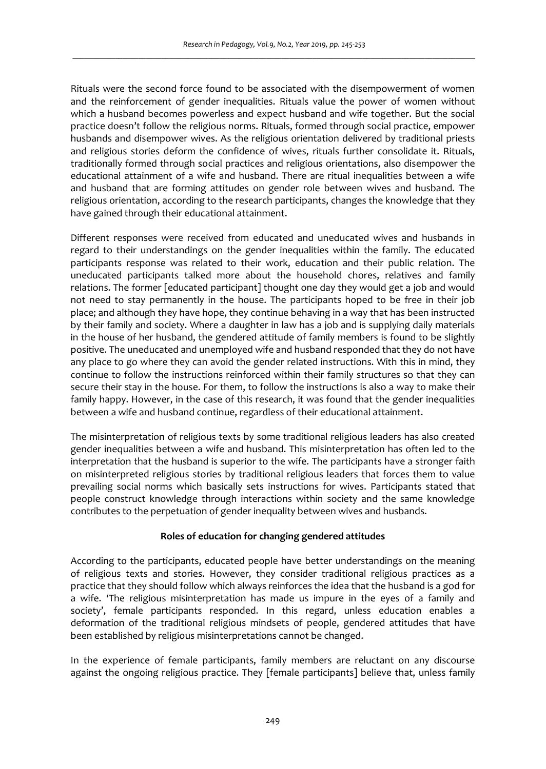Rituals were the second force found to be associated with the disempowerment of women and the reinforcement of gender inequalities. Rituals value the power of women without which a husband becomes powerless and expect husband and wife together. But the social practice doesn't follow the religious norms. Rituals, formed through social practice, empower husbands and disempower wives. As the religious orientation delivered by traditional priests and religious stories deform the confidence of wives, rituals further consolidate it. Rituals, traditionally formed through social practices and religious orientations, also disempower the educational attainment of a wife and husband. There are ritual inequalities between a wife and husband that are forming attitudes on gender role between wives and husband. The religious orientation, according to the research participants, changes the knowledge that they have gained through their educational attainment.

Different responses were received from educated and uneducated wives and husbands in regard to their understandings on the gender inequalities within the family. The educated participants response was related to their work, education and their public relation. The uneducated participants talked more about the household chores, relatives and family relations. The former [educated participant] thought one day they would get a job and would not need to stay permanently in the house. The participants hoped to be free in their job place; and although they have hope, they continue behaving in a way that has been instructed by their family and society. Where a daughter in law has a job and is supplying daily materials in the house of her husband, the gendered attitude of family members is found to be slightly positive. The uneducated and unemployed wife and husband responded that they do not have any place to go where they can avoid the gender related instructions. With this in mind, they continue to follow the instructions reinforced within their family structures so that they can secure their stay in the house. For them, to follow the instructions is also a way to make their family happy. However, in the case of this research, it was found that the gender inequalities between a wife and husband continue, regardless of their educational attainment.

The misinterpretation of religious texts by some traditional religious leaders has also created gender inequalities between a wife and husband. This misinterpretation has often led to the interpretation that the husband is superior to the wife. The participants have a stronger faith on misinterpreted religious stories by traditional religious leaders that forces them to value prevailing social norms which basically sets instructions for wives. Participants stated that people construct knowledge through interactions within society and the same knowledge contributes to the perpetuation of gender inequality between wives and husbands.

# **Roles of education for changing gendered attitudes**

According to the participants, educated people have better understandings on the meaning of religious texts and stories. However, they consider traditional religious practices as a practice that they should follow which always reinforces the idea that the husband is a god for a wife. 'The religious misinterpretation has made us impure in the eyes of a family and society', female participants responded. In this regard, unless education enables a deformation of the traditional religious mindsets of people, gendered attitudes that have been established by religious misinterpretations cannot be changed.

In the experience of female participants, family members are reluctant on any discourse against the ongoing religious practice. They [female participants] believe that, unless family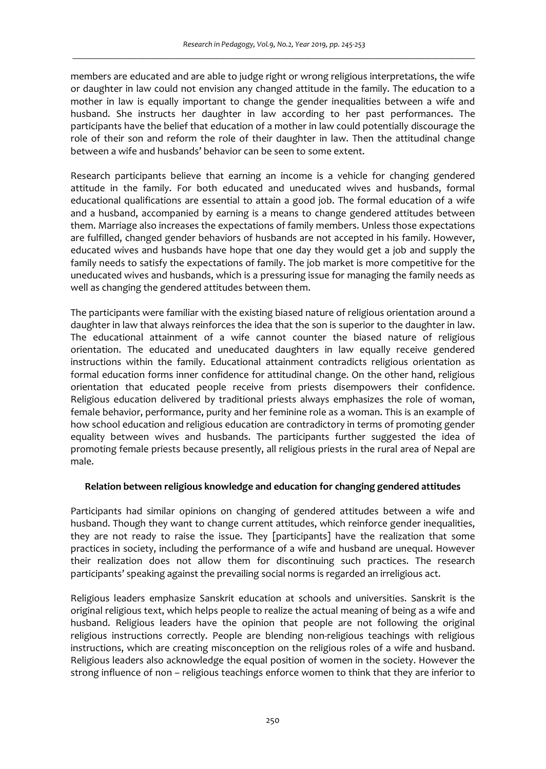members are educated and are able to judge right or wrong religious interpretations, the wife or daughter in law could not envision any changed attitude in the family. The education to a mother in law is equally important to change the gender inequalities between a wife and husband. She instructs her daughter in law according to her past performances. The participants have the belief that education of a mother in law could potentially discourage the role of their son and reform the role of their daughter in law. Then the attitudinal change between a wife and husbands' behavior can be seen to some extent.

Research participants believe that earning an income is a vehicle for changing gendered attitude in the family. For both educated and uneducated wives and husbands, formal educational qualifications are essential to attain a good job. The formal education of a wife and a husband, accompanied by earning is a means to change gendered attitudes between them. Marriage also increases the expectations of family members. Unless those expectations are fulfilled, changed gender behaviors of husbands are not accepted in his family. However, educated wives and husbands have hope that one day they would get a job and supply the family needs to satisfy the expectations of family. The job market is more competitive for the uneducated wives and husbands, which is a pressuring issue for managing the family needs as well as changing the gendered attitudes between them.

The participants were familiar with the existing biased nature of religious orientation around a daughter in law that always reinforces the idea that the son is superior to the daughter in law. The educational attainment of a wife cannot counter the biased nature of religious orientation. The educated and uneducated daughters in law equally receive gendered instructions within the family. Educational attainment contradicts religious orientation as formal education forms inner confidence for attitudinal change. On the other hand, religious orientation that educated people receive from priests disempowers their confidence. Religious education delivered by traditional priests always emphasizes the role of woman, female behavior, performance, purity and her feminine role as a woman. This is an example of how school education and religious education are contradictory in terms of promoting gender equality between wives and husbands. The participants further suggested the idea of promoting female priests because presently, all religious priests in the rural area of Nepal are male.

#### **Relation between religious knowledge and education for changing gendered attitudes**

Participants had similar opinions on changing of gendered attitudes between a wife and husband. Though they want to change current attitudes, which reinforce gender inequalities, they are not ready to raise the issue. They [participants] have the realization that some practices in society, including the performance of a wife and husband are unequal. However their realization does not allow them for discontinuing such practices. The research participants' speaking against the prevailing social norms is regarded an irreligious act.

Religious leaders emphasize Sanskrit education at schools and universities. Sanskrit is the original religious text, which helps people to realize the actual meaning of being as a wife and husband. Religious leaders have the opinion that people are not following the original religious instructions correctly. People are blending non-religious teachings with religious instructions, which are creating misconception on the religious roles of a wife and husband. Religious leaders also acknowledge the equal position of women in the society. However the strong influence of non – religious teachings enforce women to think that they are inferior to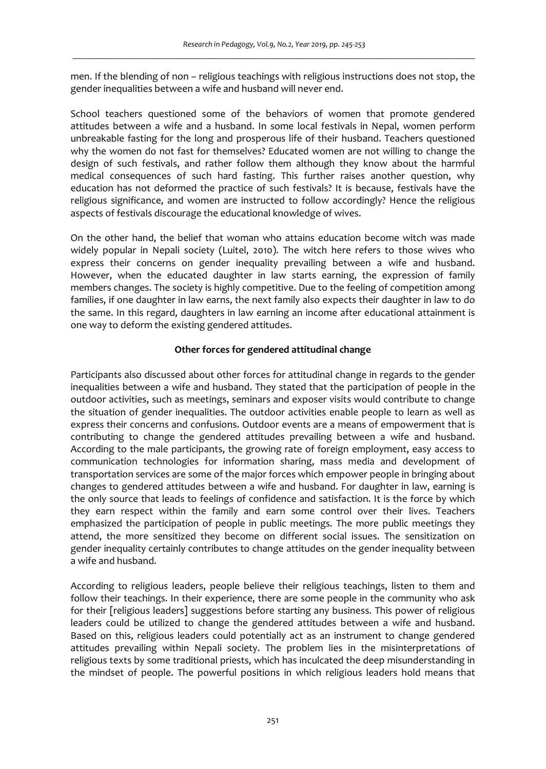men. If the blending of non – religious teachings with religious instructions does not stop, the gender inequalities between a wife and husband will never end.

School teachers questioned some of the behaviors of women that promote gendered attitudes between a wife and a husband. In some local festivals in Nepal, women perform unbreakable fasting for the long and prosperous life of their husband. Teachers questioned why the women do not fast for themselves? Educated women are not willing to change the design of such festivals, and rather follow them although they know about the harmful medical consequences of such hard fasting. This further raises another question, why education has not deformed the practice of such festivals? It is because, festivals have the religious significance, and women are instructed to follow accordingly? Hence the religious aspects of festivals discourage the educational knowledge of wives.

On the other hand, the belief that woman who attains education become witch was made widely popular in Nepali society (Luitel, 2010). The witch here refers to those wives who express their concerns on gender inequality prevailing between a wife and husband. However, when the educated daughter in law starts earning, the expression of family members changes. The society is highly competitive. Due to the feeling of competition among families, if one daughter in law earns, the next family also expects their daughter in law to do the same. In this regard, daughters in law earning an income after educational attainment is one way to deform the existing gendered attitudes.

# **Other forces for gendered attitudinal change**

Participants also discussed about other forces for attitudinal change in regards to the gender inequalities between a wife and husband. They stated that the participation of people in the outdoor activities, such as meetings, seminars and exposer visits would contribute to change the situation of gender inequalities. The outdoor activities enable people to learn as well as express their concerns and confusions. Outdoor events are a means of empowerment that is contributing to change the gendered attitudes prevailing between a wife and husband. According to the male participants, the growing rate of foreign employment, easy access to communication technologies for information sharing, mass media and development of transportation services are some of the major forces which empower people in bringing about changes to gendered attitudes between a wife and husband. For daughter in law, earning is the only source that leads to feelings of confidence and satisfaction. It is the force by which they earn respect within the family and earn some control over their lives. Teachers emphasized the participation of people in public meetings. The more public meetings they attend, the more sensitized they become on different social issues. The sensitization on gender inequality certainly contributes to change attitudes on the gender inequality between a wife and husband.

According to religious leaders, people believe their religious teachings, listen to them and follow their teachings. In their experience, there are some people in the community who ask for their [religious leaders] suggestions before starting any business. This power of religious leaders could be utilized to change the gendered attitudes between a wife and husband. Based on this, religious leaders could potentially act as an instrument to change gendered attitudes prevailing within Nepali society. The problem lies in the misinterpretations of religious texts by some traditional priests, which has inculcated the deep misunderstanding in the mindset of people. The powerful positions in which religious leaders hold means that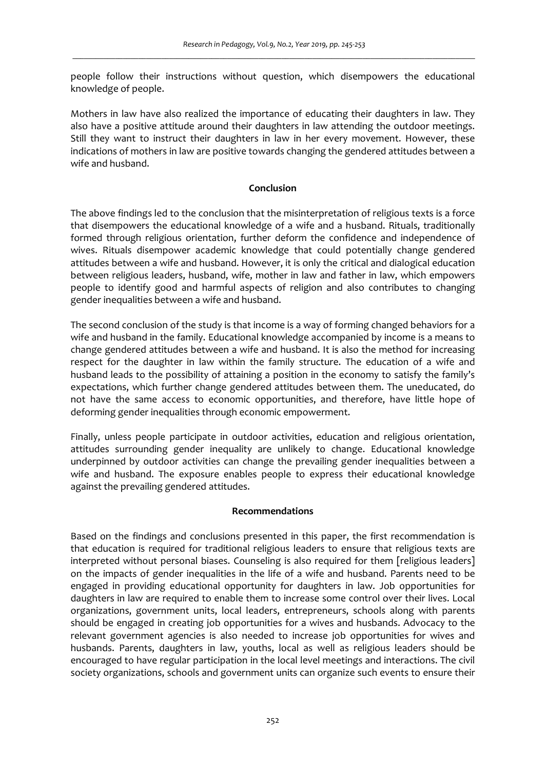people follow their instructions without question, which disempowers the educational knowledge of people.

Mothers in law have also realized the importance of educating their daughters in law. They also have a positive attitude around their daughters in law attending the outdoor meetings. Still they want to instruct their daughters in law in her every movement. However, these indications of mothers in law are positive towards changing the gendered attitudes between a wife and husband.

#### **Conclusion**

The above findings led to the conclusion that the misinterpretation of religious texts is a force that disempowers the educational knowledge of a wife and a husband. Rituals, traditionally formed through religious orientation, further deform the confidence and independence of wives. Rituals disempower academic knowledge that could potentially change gendered attitudes between a wife and husband. However, it is only the critical and dialogical education between religious leaders, husband, wife, mother in law and father in law, which empowers people to identify good and harmful aspects of religion and also contributes to changing gender inequalities between a wife and husband.

The second conclusion of the study is that income is a way of forming changed behaviors for a wife and husband in the family. Educational knowledge accompanied by income is a means to change gendered attitudes between a wife and husband. It is also the method for increasing respect for the daughter in law within the family structure. The education of a wife and husband leads to the possibility of attaining a position in the economy to satisfy the family's expectations, which further change gendered attitudes between them. The uneducated, do not have the same access to economic opportunities, and therefore, have little hope of deforming gender inequalities through economic empowerment.

Finally, unless people participate in outdoor activities, education and religious orientation, attitudes surrounding gender inequality are unlikely to change. Educational knowledge underpinned by outdoor activities can change the prevailing gender inequalities between a wife and husband. The exposure enables people to express their educational knowledge against the prevailing gendered attitudes.

## **Recommendations**

Based on the findings and conclusions presented in this paper, the first recommendation is that education is required for traditional religious leaders to ensure that religious texts are interpreted without personal biases. Counseling is also required for them [religious leaders] on the impacts of gender inequalities in the life of a wife and husband. Parents need to be engaged in providing educational opportunity for daughters in law. Job opportunities for daughters in law are required to enable them to increase some control over their lives. Local organizations, government units, local leaders, entrepreneurs, schools along with parents should be engaged in creating job opportunities for a wives and husbands. Advocacy to the relevant government agencies is also needed to increase job opportunities for wives and husbands. Parents, daughters in law, youths, local as well as religious leaders should be encouraged to have regular participation in the local level meetings and interactions. The civil society organizations, schools and government units can organize such events to ensure their